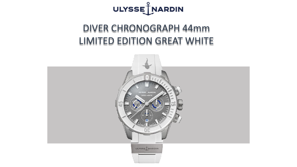

## DIVER CHRONOGRAPH 44mm LIMITED EDITION GREAT WHITE

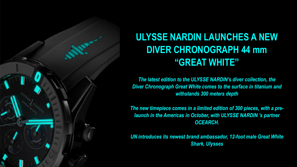

# **ULYSSE NARDIN LAUNCHES A NEW DIVER CHRONOGRAPH 44 mm "GREAT WHITE"**

*The latest edition to the ULYSSE NARDIN's diver collection, the Diver Chronograph Great White comes to the surface in titanium and withstands 300 meters depth*

*The new timepiece comes in a limited edition of 300 pieces, with a prelaunch in the Americas in October, with ULYSSE NARDIN 's partner OCEARCH.*

*UN introduces its newest brand ambassador, 12-foot male Great White Shark, Ulysses*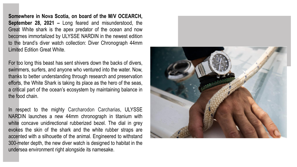**Somewhere in Nova Scotia, on board of the M/V OCEARCH, September 28, 2021 –** Long feared and misunderstood, the Great White shark is the apex predator of the ocean and now becomes immortalized by ULYSSE NARDIN in the newest edition to the brand's diver watch collection: Diver Chronograph 44mm Limited Edition Great White.

For too long this beast has sent shivers down the backs of divers, swimmers, surfers, and anyone who ventured into the water. Now, thanks to better understanding through research and preservation efforts, the White Shark is taking its place as the hero of the seas, a critical part of the ocean's ecosystem by maintaining balance in the food chain.

In respect to the mighty Carcharodon Carcharias, ULYSSE NARDIN launches a new 44mm chronograph in titanium with white concave unidirectional rubberized bezel. The dial in grey evokes the skin of the shark and the white rubber straps are accented with a silhouette of the animal. Engineered to withstand 300-meter depth, the new diver watch is designed to habitat in the undersea environment right alongside its namesake.

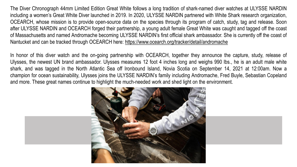The Diver Chronograph 44mm Limited Edition Great White follows a long tradition of shark-named diver watches at ULYSSE NARDIN including a women's Great White Diver launched in 2019. In 2020, ULYSSE NARDIN partnered with White Shark research organization, OCEARCH, whose mission is to provide open-source data on the species through its program of catch, study, tag and release. Soon after ULYSSE NARDIN and OCEARCH forged their partnership, a young adult female Great White was caught and tagged off the coast of Massachusetts and named Andromache becoming ULYSSE NARDIN's first official shark ambassador. She is currently off the coast of Nantucket and can be tracked through OCEARCH here: <https://www.ocearch.org/tracker/detail/andromache>

In honor of this diver watch and the on-going partnership with OCEARCH, together they announce the capture, study, release of Ulysses, the newest UN brand ambassador. Ulysses measures 12 foot 4 inches long and weighs 990 lbs., he is an adult male white shark, and was tagged in the North Atlantic Sea off Ironbound Island, Novia Scotia on September 14, 2021 at 12:00am. Now a champion for ocean sustainability, Ulysses joins the ULYSSE NARDIN's family including Andromache, Fred Buyle, Sebastian Copeland and more. These great names continue to highlight the much-needed work and shed light on the environment.

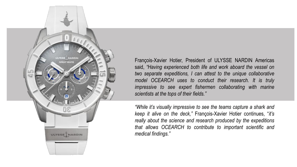

François-Xavier Hotier, President of ULYSSE NARDIN Americas said, *"Having experienced both life and work aboard the vessel on two separate expeditions, I can attest to the unique collaborative model OCEARCH uses to conduct their research. It is truly impressive to see expert fishermen collaborating with marine scientists at the tops of their fields."*

*"While it's visually impressive to see the teams capture a shark and keep it alive on the deck,"* François-Xavier Hotier continues, "*it's really about the science and research produced by the expeditions that allows OCEARCH to contribute to important scientific and medical findings."*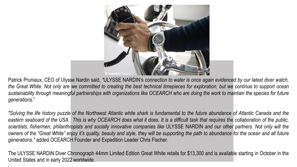

Patrick Pruniaux, CEO of Ulysse Nardin said, *"*ULYSSE NARDIN's *connection to water is once again evidenced by our latest diver watch,* the Great White. Not only are we committed to creating the best technical timepieces for exploration, but we continue to support ocean sustainability through meaningful partnerships with organizations like OCEARCH who are doing the work to maintain the species for future *generations*."

"Solving the life history puzzle of the Northwest Atlantic white shark is fundamental to the future abundance of Atlantic Canada and the eastern seaboard of the USA. This is why OCEARCH does what it does. It is a difficult task that requires the collaboration of the public, scientists, fishermen, philanthropists and socially innovative companies like ULYSSE NARDIN and our other partners. Not only will the owners of the "Great White" enjoy it's quality, beauty and style, they will be supporting the path to abundance for the ocean and all future *generations,"* added OCEARCH Founder and Expedition Leader Chris Fischer.

The ULYSSE NARDIN Diver Chronograph 44mm Limited Edition Great White retails for \$13,300 and is available starting in October in the United States and in early 2022 worldwide.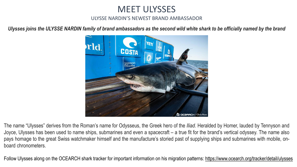MEET ULYSSES

## ULYSSE NARDIN'S NEWEST BRAND AMBASSADOR

*Ulysses joins the ULYSSE NARDIN family of brand ambassadors as the second wild white shark to be officially named by the brand* 



The name "Ulysses" derives from the Roman's name for Odysseus, the Greek hero of the *Iliad*. Heralded by Homer, lauded by Tennyson and Joyce, Ulysses has been used to name ships, submarines and even a spacecraft – a true fit for the brand's vertical odyssey. The name also pays homage to the great Swiss watchmaker himself and the manufacture's storied past of supplying ships and submarines with mobile, onboard chronometers.

Follow Ulysses along on the OCEARCH shark tracker for important information on his migration patterns:<https://www.ocearch.org/tracker/detail/ulysses>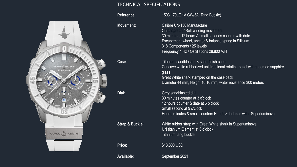### TECHNICAL SPECIFICATIONS

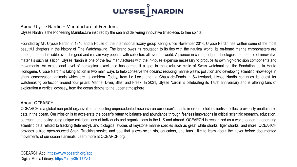

#### About Ulysse Nardin – Manufacture of Freedom.

Ulysse Nardin is the Pioneering Manufacture inspired by the sea and delivering innovative timepieces to free spirits.

Founded by Mr. Ulysse Nardin in 1846 and a House of the international luxury group Kering since November 2014, Ulysse Nardin has written some of the most beautiful chapters in the history of Fine Watchmaking. The brand owes its reputation to its ties with the nautical world: its on-board marine chronometers are among the most reliable ever designed and remain very popular with collectors all over the world. A pioneer in cutting-edge technologies and the use of innovative materials such as silicon, Ulysse Nardin is one of the few manufactures with the in-house expertise necessary to produce its own high-precision components and movements. An exceptional level of horological excellence has earned it a spot in the exclusive circle of Swiss watchmaking: the Fondation de la Haute Horlogerie. Ulysse Nardin is taking action in two main ways to help conserve the oceans: reducing marine plastic pollution and developing scientific knowledge in shark conservation, animals which are its emblem. Today, from Le Locle and La Chaux-de-Fonds in Switzerland, Ulysse Nardin continues its quest for watchmaking perfection around four pillars: Marine, Diver, Blast and Freak. In 2021, Ulysse Nardin is celebrating its 175th anniversary and is offering fans of exploration a vertical odyssey, from the ocean depths to the upper atmosphere.

#### About OCEARCH

OCEARCH is a global non-profit organization conducting unprecedented research on our ocean's giants in order to help scientists collect previously unattainable data in the ocean. Our mission is to accelerate the ocean's return to balance and abundance through fearless innovations in critical scientific research, education, outreach, and policy using unique collaborations of individuals and organizations in the U.S and abroad. OCEARCH is recognized as a world leader in generating scientific data related to tracking (telemetry), and biological studies of keystone marine species such as great white sharks, tiger sharks, and more. OCEARCH provides a free open-sourced Shark Tracking service and app that allows scientists, educators, and fans alike to learn about the never before documented movements of our ocean's animals. Learn more at OCEARCH.org.